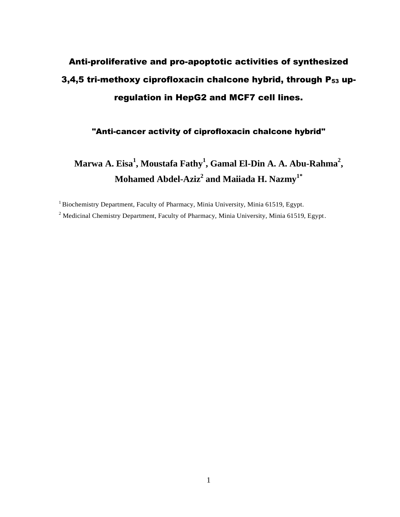# Anti-proliferative and pro-apoptotic activities of synthesized 3,4,5 tri-methoxy ciprofloxacin chalcone hybrid, through  $P_{53}$  upregulation in HepG2 and MCF7 cell lines.

"Anti-cancer activity of ciprofloxacin chalcone hybrid"

**Marwa A. Eisa<sup>1</sup> , Moustafa Fathy 1 , Gamal El-Din A. A. Abu-Rahma<sup>2</sup> , Mohamed Abdel-Aziz<sup>2</sup> and Maiiada H. Nazmy1\***

<sup>1</sup> Biochemistry Department, Faculty of Pharmacy, Minia University, Minia 61519, Egypt.

<sup>2</sup> Medicinal Chemistry Department, Faculty of Pharmacy, Minia University, Minia 61519, Egypt.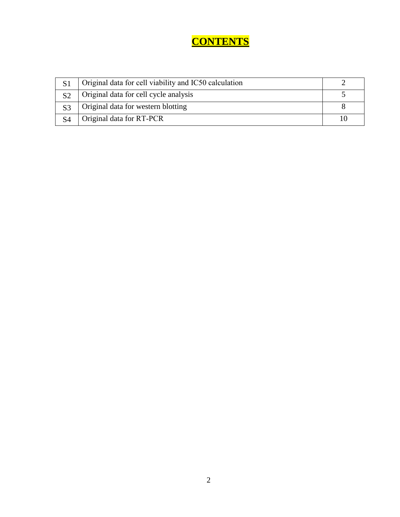### **CONTENTS**

|                | Original data for cell viability and IC50 calculation |    |
|----------------|-------------------------------------------------------|----|
| S <sub>2</sub> | Original data for cell cycle analysis                 |    |
|                | Original data for western blotting                    |    |
|                | Original data for RT-PCR                              | 10 |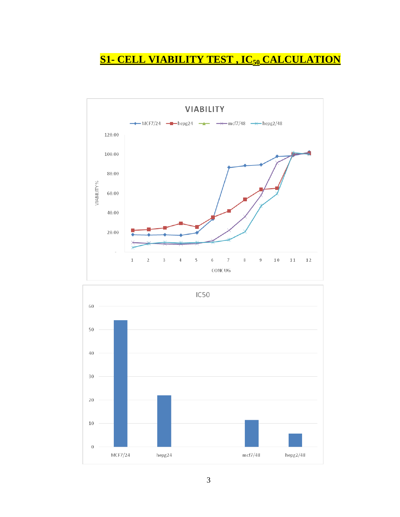# **S1- CELL VIABILITY TEST , IC<sup>50</sup> CALCULATION**



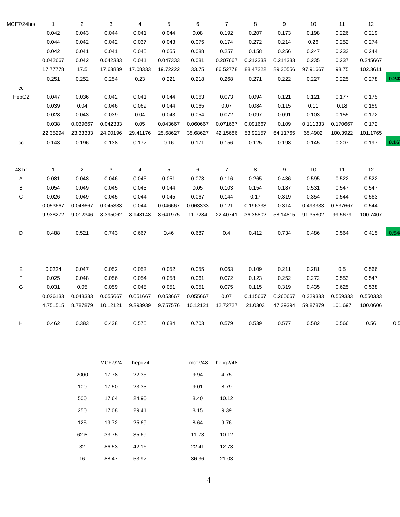| MCF7/24hrs  | $\mathbf{1}$ | $\overline{\mathbf{c}}$ | 3        | 4        | 5        | 6        | $\overline{7}$ | 8        | 9        | 10       | 11       | 12       |      |
|-------------|--------------|-------------------------|----------|----------|----------|----------|----------------|----------|----------|----------|----------|----------|------|
|             | 0.042        | 0.043                   | 0.044    | 0.041    | 0.044    | 0.08     | 0.192          | 0.207    | 0.173    | 0.198    | 0.226    | 0.219    |      |
|             | 0.044        | 0.042                   | 0.042    | 0.037    | 0.043    | 0.075    | 0.174          | 0.272    | 0.214    | 0.26     | 0.252    | 0.274    |      |
|             | 0.042        | 0.041                   | 0.041    | 0.045    | 0.055    | 0.088    | 0.257          | 0.158    | 0.256    | 0.247    | 0.233    | 0.244    |      |
|             | 0.042667     | 0.042                   | 0.042333 | 0.041    | 0.047333 | 0.081    | 0.207667       | 0.212333 | 0.214333 | 0.235    | 0.237    | 0.245667 |      |
|             | 17.77778     | 17.5                    | 17.63889 | 17.08333 | 19.72222 | 33.75    | 86.52778       | 88.47222 | 89.30556 | 97.91667 | 98.75    | 102.3611 |      |
|             | 0.251        | 0.252                   | 0.254    | 0.23     | 0.221    | 0.218    | 0.268          | 0.271    | 0.222    | 0.227    | 0.225    | 0.278    | 0.24 |
| cc          |              |                         |          |          |          |          |                |          |          |          |          |          |      |
| HepG2       | 0.047        | 0.036                   | 0.042    | 0.041    | 0.044    | 0.063    | 0.073          | 0.094    | 0.121    | 0.121    | 0.177    | 0.175    |      |
|             | 0.039        | 0.04                    | 0.046    | 0.069    | 0.044    | 0.065    | 0.07           | 0.084    | 0.115    | 0.11     | 0.18     | 0.169    |      |
|             | 0.028        | 0.043                   | 0.039    | 0.04     | 0.043    | 0.054    | 0.072          | 0.097    | 0.091    | 0.103    | 0.155    | 0.172    |      |
|             | 0.038        | 0.039667                | 0.042333 | 0.05     | 0.043667 | 0.060667 | 0.071667       | 0.091667 | 0.109    | 0.111333 | 0.170667 | 0.172    |      |
|             | 22.35294     | 23.33333                | 24.90196 | 29.41176 | 25.68627 | 35.68627 | 42.15686       | 53.92157 | 64.11765 | 65.4902  | 100.3922 | 101.1765 |      |
| cc          | 0.143        | 0.196                   | 0.138    | 0.172    | 0.16     | 0.171    | 0.156          | 0.125    | 0.198    | 0.145    | 0.207    | 0.197    | 0.16 |
|             |              |                         |          |          |          |          |                |          |          |          |          |          |      |
| 48 hr       | $\mathbf{1}$ | $\overline{2}$          | 3        | 4        | 5        | 6        | $\overline{7}$ | 8        | 9        | 10       | 11       | 12       |      |
| Α           | 0.081        | 0.048                   | 0.046    | 0.045    | 0.051    | 0.073    | 0.116          | 0.265    | 0.436    | 0.595    | 0.522    | 0.522    |      |
| В           | 0.054        | 0.049                   | 0.045    | 0.043    | 0.044    | 0.05     | 0.103          | 0.154    | 0.187    | 0.531    | 0.547    | 0.547    |      |
| C           | 0.026        | 0.049                   | 0.045    | 0.044    | 0.045    | 0.067    | 0.144          | 0.17     | 0.319    | 0.354    | 0.544    | 0.563    |      |
|             | 0.053667     | 0.048667                | 0.045333 | 0.044    | 0.046667 | 0.063333 | 0.121          | 0.196333 | 0.314    | 0.493333 | 0.537667 | 0.544    |      |
|             | 9.938272     | 9.012346                | 8.395062 | 8.148148 | 8.641975 | 11.7284  | 22.40741       | 36.35802 | 58.14815 | 91.35802 | 99.5679  | 100.7407 |      |
|             |              |                         |          |          |          |          |                |          |          |          |          |          |      |
| D           | 0.488        | 0.521                   | 0.743    | 0.667    | 0.46     | 0.687    | 0.4            | 0.412    | 0.734    | 0.486    | 0.564    | 0.415    | 0.54 |
|             |              |                         |          |          |          |          |                |          |          |          |          |          |      |
|             |              |                         |          |          |          |          |                |          |          |          |          |          |      |
| Ε           | 0.0224       | 0.047                   | 0.052    | 0.053    | 0.052    | 0.055    | 0.063          | 0.109    | 0.211    | 0.281    | 0.5      | 0.566    |      |
| $\mathsf F$ | 0.025        | 0.048                   | 0.056    | 0.054    | 0.058    | 0.061    | 0.072          | 0.123    | 0.252    | 0.272    | 0.553    | 0.547    |      |
| G           | 0.031        | 0.05                    | 0.059    | 0.048    | 0.051    | 0.051    | 0.075          | 0.115    | 0.319    | 0.435    | 0.625    | 0.538    |      |
|             | 0.026133     | 0.048333                | 0.055667 | 0.051667 | 0.053667 | 0.055667 | 0.07           | 0.115667 | 0.260667 | 0.329333 | 0.559333 | 0.550333 |      |
|             | 4.751515     | 8.787879                | 10.12121 | 9.393939 | 9.757576 | 10.12121 | 12.72727       | 21.0303  | 47.39394 | 59.87879 | 101.697  | 100.0606 |      |
| н           | 0.462        | 0.383                   | 0.438    | 0.575    | 0.684    | 0.703    | 0.579          | 0.539    | 0.577    | 0.582    | 0.566    | 0.56     | 0.5  |
|             |              |                         |          |          |          |          |                |          |          |          |          |          |      |

|      | <b>MCF7/24</b> | hepg24 | mcf7/48 | hepg $2/48$ |  |
|------|----------------|--------|---------|-------------|--|
| 2000 | 17.78          | 22.35  | 9.94    | 4.75        |  |
| 100  | 17.50          | 23.33  | 9.01    | 8.79        |  |
| 500  | 17.64          | 24.90  | 8.40    | 10.12       |  |
| 250  | 17.08          | 29.41  | 8.15    | 9.39        |  |
| 125  | 19.72          | 25.69  | 8.64    | 9.76        |  |
| 62.5 | 33.75          | 35.69  | 11.73   | 10.12       |  |
| 32   | 86.53          | 42.16  | 22.41   | 12.73       |  |
| 16   | 88.47          | 53.92  | 36.36   | 21.03       |  |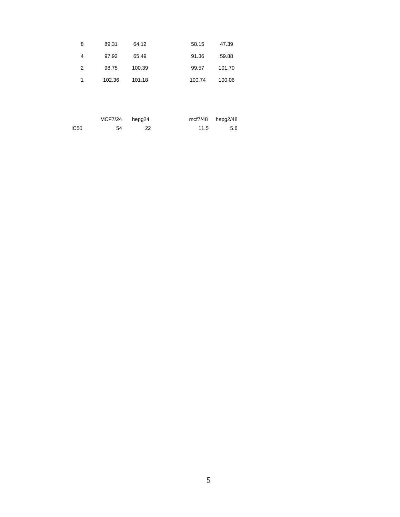| 8 | 89.31  | 64.12  | 58.15  | 47.39  |
|---|--------|--------|--------|--------|
| 4 | 97.92  | 65.49  | 91.36  | 59.88  |
| 2 | 98.75  | 100.39 | 99.57  | 101.70 |
| 1 | 102.36 | 101.18 | 100.74 | 100.06 |

|      | MCF7/24 | hepg24 |      | mcf7/48 hepg2/48 |
|------|---------|--------|------|------------------|
| IC50 | 54      | 22     | 11.5 | 5.6              |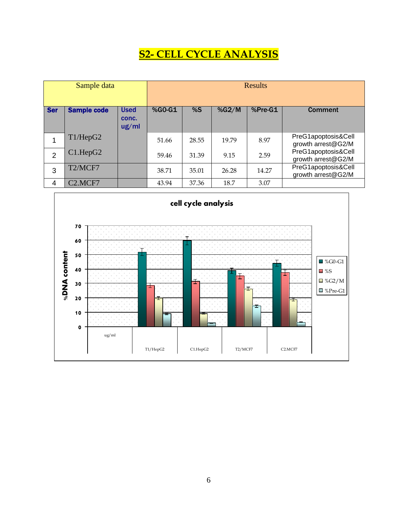### **S2- CELL CYCLE ANALYSIS**

|                | Sample data                      |                               |          |       |       | <b>Results</b> |                                           |
|----------------|----------------------------------|-------------------------------|----------|-------|-------|----------------|-------------------------------------------|
| <b>Ser</b>     | <b>Sample code</b>               | <b>Used</b><br>conc.<br>ug/ml | $%GO-G1$ | %S    | %G2/M | %Pre-G1        | <b>Comment</b>                            |
| 1              | T1/HepG2                         |                               | 51.66    | 28.55 | 19.79 | 8.97           | PreG1apoptosis&Cell<br>growth arrest@G2/M |
| $\overline{2}$ | C1.HepG2                         |                               | 59.46    | 31.39 | 9.15  | 2.59           | PreG1apoptosis&Cell<br>growth arrest@G2/M |
| 3              | T2/MCF7                          |                               | 38.71    | 35.01 | 26.28 | 14.27          | PreG1apoptosis&Cell<br>growth arrest@G2/M |
| 4              | C <sub>2</sub> .MCF <sub>7</sub> |                               | 43.94    | 37.36 | 18.7  | 3.07           |                                           |

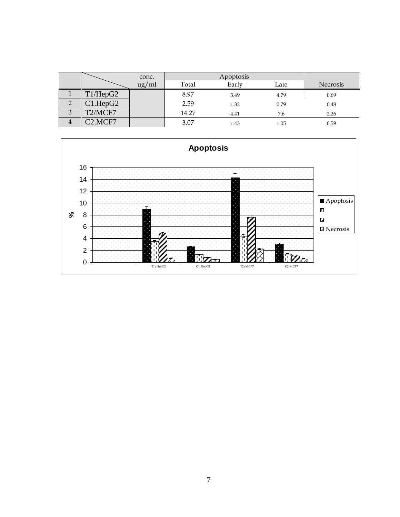|                |                                  | conc. |       | Apoptosis |      |                 |
|----------------|----------------------------------|-------|-------|-----------|------|-----------------|
|                |                                  | ug/ml | Total | Early     | Late | <b>Necrosis</b> |
|                | T1/HepG2                         |       | 8.97  | 3.49      | 4.79 | 0.69            |
| റ              | C1.HepG2                         |       | 2.59  | 1.32      | 0.79 | 0.48            |
| 3              | T2/MCF7                          |       | 14.27 | 4.41      | 7.6  | 2.26            |
| $\overline{4}$ | C <sub>2</sub> .MCF <sub>7</sub> |       | 3.07  | 1.43      | 1.05 | 0.59            |

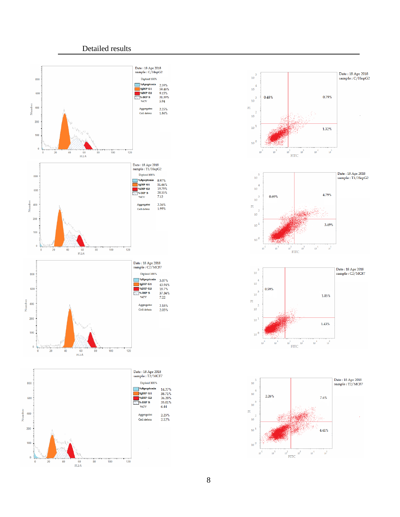#### Detailed results









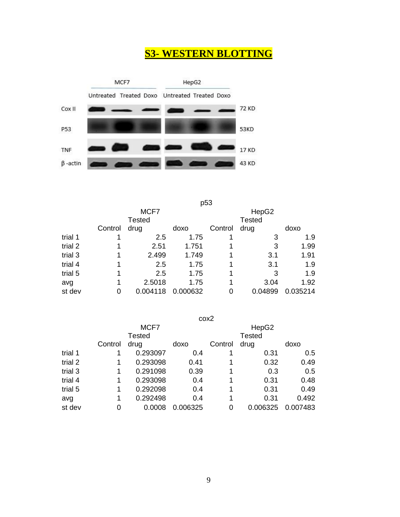### **S3- WESTERN BLOTTING**



p53

|         |         | MCF7          |          | HepG2   |               |          |  |
|---------|---------|---------------|----------|---------|---------------|----------|--|
|         |         | <b>Tested</b> |          |         | <b>Tested</b> |          |  |
|         | Control | drug          | doxo     | Control | drug          | doxo     |  |
| trial 1 |         | 2.5           | 1.75     |         | 3             | 1.9      |  |
| trial 2 |         | 2.51          | 1.751    |         | 3             | 1.99     |  |
| trial 3 |         | 2.499         | 1.749    | 1       | 3.1           | 1.91     |  |
| trial 4 |         | 2.5           | 1.75     |         | 3.1           | 1.9      |  |
| trial 5 |         | 2.5           | 1.75     | 1       | 3             | 1.9      |  |
| avg     |         | 2.5018        | 1.75     | 1       | 3.04          | 1.92     |  |
| st dev  | 0       | 0.004118      | 0.000632 | 0       | 0.04899       | 0.035214 |  |

cox2 MCF7 HepG2 **Control** Tested drug doxo Control Tested drug doxo trial 1 0.293097 0.4 1 0.31 0.5 trial 2 1 0.293098 0.41 1 0.32 0.49 trial 3 1 0.291098 0.39 1 0.3 0.5 trial 4 1 0.293098 0.4 1 0.31 0.48 trial 5 1 0.292098 0.4 1 0.31 0.49 avg 1 0.292498 0.4 1 0.31 0.492 st dev 0 0.0008 0.006325 0 0.006325 0.007483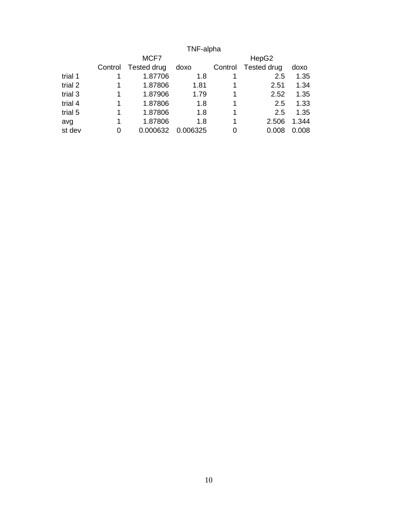#### TNF-alpha MCF7 HepG2 Control Tested drug doxo Control Tested drug doxo trial 1 1 1.87706 1.8 1 2.5 trial 2 1 1.87806 1.81 1 2.51 1.34 trial 3 1 1.87906 1.79 1 2.52 1.35<br>trial 4 1 1.87806 1.8 1 2.5 1.33 trial 4 1 1.87806 1.8 1 2.5 1.33<br>trial 5 1 1.87806 1.8 1 2.5 1.35 1 1.87806 1.8 1 2.5 1.35 avg 1 1.87806 1.8 1 2.506 1.344 st dev 0 0.000632 0.006325 0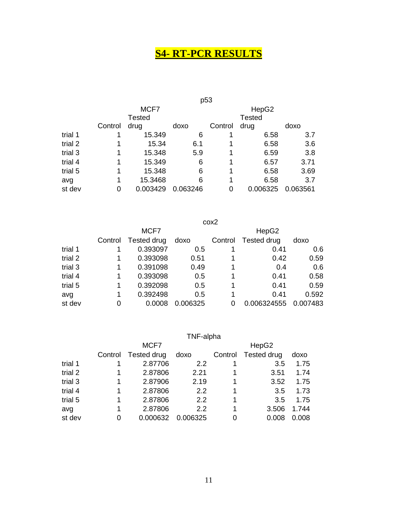## **S4- RT-PCR RESULTS**

|         | p <sub>53</sub> |               |          |         |               |          |  |  |  |
|---------|-----------------|---------------|----------|---------|---------------|----------|--|--|--|
|         |                 | MCF7          |          | HepG2   |               |          |  |  |  |
|         |                 | <b>Tested</b> |          |         | <b>Tested</b> |          |  |  |  |
|         | Control         | drug          | doxo     | Control | drug          | doxo     |  |  |  |
| trial 1 |                 | 15.349        | 6        |         | 6.58          | 3.7      |  |  |  |
| trial 2 |                 | 15.34         | 6.1      |         | 6.58          | 3.6      |  |  |  |
| trial 3 |                 | 15.348        | 5.9      |         | 6.59          | 3.8      |  |  |  |
| trial 4 |                 | 15.349        | 6        |         | 6.57          | 3.71     |  |  |  |
| trial 5 |                 | 15.348        | 6        | 1       | 6.58          | 3.69     |  |  |  |
| avg     |                 | 15.3468       | 6        | 1       | 6.58          | 3.7      |  |  |  |
| st dev  | 0               | 0.003429      | 0.063246 | 0       | 0.006325      | 0.063561 |  |  |  |

|         | cox2    |             |          |         |                    |          |  |  |  |  |
|---------|---------|-------------|----------|---------|--------------------|----------|--|--|--|--|
|         |         | MCF7        |          |         | HepG2              |          |  |  |  |  |
|         | Control | Tested drug | doxo     | Control | <b>Tested drug</b> | doxo     |  |  |  |  |
| trial 1 |         | 0.393097    | 0.5      |         | 0.41               | 0.6      |  |  |  |  |
| trial 2 | 1       | 0.393098    | 0.51     | 1       | 0.42               | 0.59     |  |  |  |  |
| trial 3 | 1       | 0.391098    | 0.49     | 1       | 0.4                | 0.6      |  |  |  |  |
| trial 4 | 1       | 0.393098    | 0.5      | 1       | 0.41               | 0.58     |  |  |  |  |
| trial 5 | 1       | 0.392098    | 0.5      | 1       | 0.41               | 0.59     |  |  |  |  |
| avg     | 1       | 0.392498    | 0.5      | 1       | 0.41               | 0.592    |  |  |  |  |
| st dev  | 0       | 0.0008      | 0.006325 | 0       | 0.006324555        | 0.007483 |  |  |  |  |

|         | TNF-alpha |             |          |         |             |       |  |  |  |
|---------|-----------|-------------|----------|---------|-------------|-------|--|--|--|
|         |           | MCF7        |          |         | HepG2       |       |  |  |  |
|         | Control   | Tested drug | doxo     | Control | Tested drug | doxo  |  |  |  |
| trial 1 |           | 2.87706     | 2.2      |         | 3.5         | 1.75  |  |  |  |
| trial 2 |           | 2.87806     | 2.21     |         | 3.51        | 1.74  |  |  |  |
| trial 3 |           | 2.87906     | 2.19     |         | 3.52        | 1.75  |  |  |  |
| trial 4 | 1         | 2.87806     | 2.2      | 1       | 3.5         | 1.73  |  |  |  |
| trial 5 | 1         | 2.87806     | 2.2      | 1       | 3.5         | 1.75  |  |  |  |
| avg     | 1         | 2.87806     | 2.2      | 1       | 3.506       | 1.744 |  |  |  |
| st dev  | 0         | 0.000632    | 0.006325 | 0       | 0.008       | 0.008 |  |  |  |